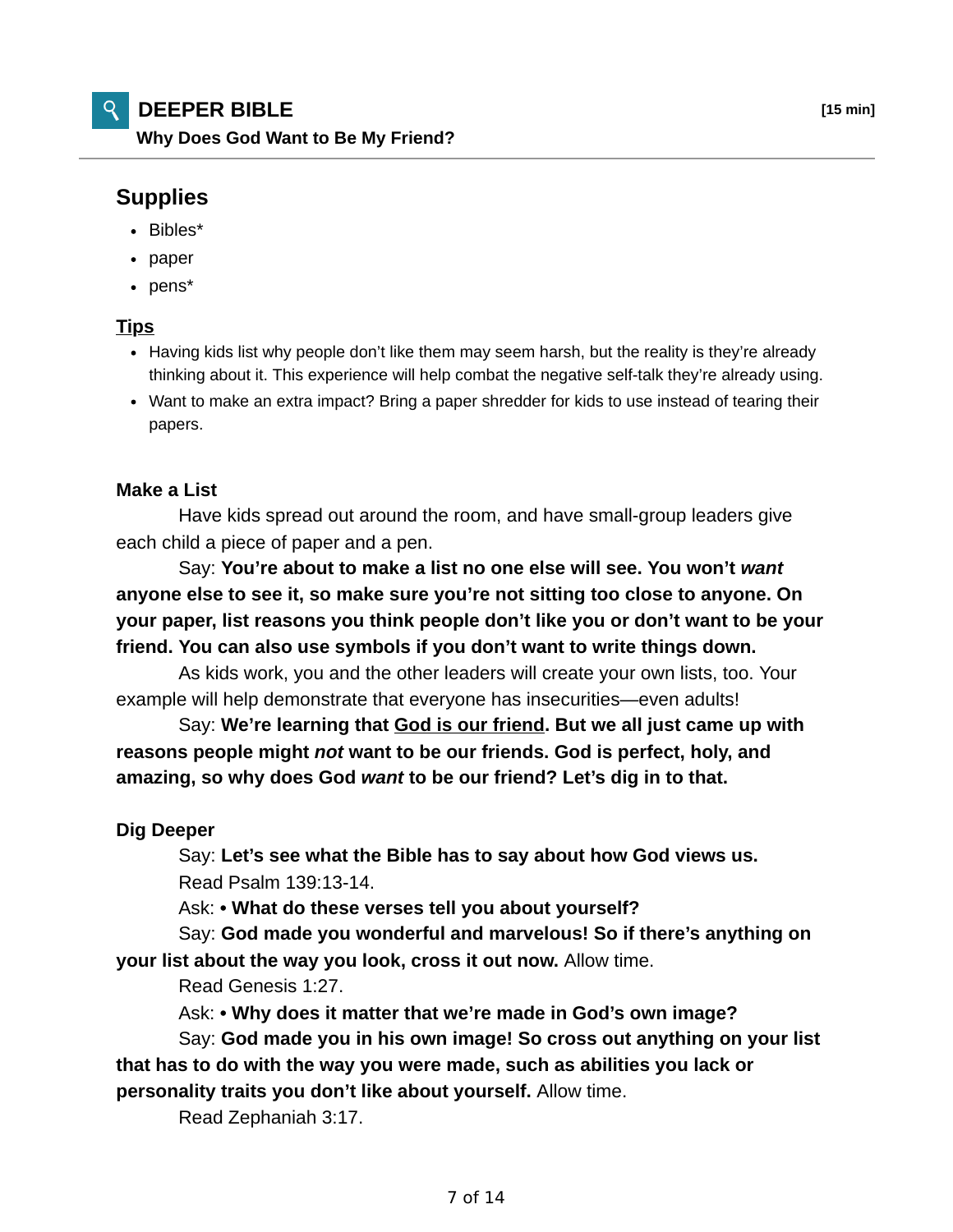# **DEEPER BIBLE [15 min]**

**Why Does God Want to Be My Friend?**

# **Supplies**

- Bibles\*
- paper
- pens\*

## **Tips**

- Having kids list why people don't like them may seem harsh, but the reality is they're already thinking about it. This experience will help combat the negative self-talk they're already using.
- Want to make an extra impact? Bring a paper shredder for kids to use instead of tearing their papers.

### **Make a List**

 Have kids spread out around the room, and have small-group leaders give each child a piece of paper and a pen.

 Say: **You're about to make a list no one else will see. You won't** *want* **anyone else to see it, so make sure you're not sitting too close to anyone. On your paper, list reasons you think people don't like you or don't want to be your friend. You can also use symbols if you don't want to write things down.**

 As kids work, you and the other leaders will create your own lists, too. Your example will help demonstrate that everyone has insecurities—even adults!

 Say: **We're learning that God is our friend. But we all just came up with reasons people might** *not* **want to be our friends. God is perfect, holy, and amazing, so why does God** *want* **to be our friend? Let's dig in to that.**

### **Dig Deeper**

 Say: **Let's see what the Bible has to say about how God views us.** Read Psalm 139:13-14.

Ask: **• What do these verses tell you about yourself?**

 Say: **God made you wonderful and marvelous! So if there's anything on your list about the way you look, cross it out now.** Allow time.

Read Genesis 1:27.

Ask: **• Why does it matter that we're made in God's own image?**

 Say: **God made you in his own image! So cross out anything on your list that has to do with the way you were made, such as abilities you lack or personality traits you don't like about yourself.** Allow time.

Read Zephaniah 3:17.